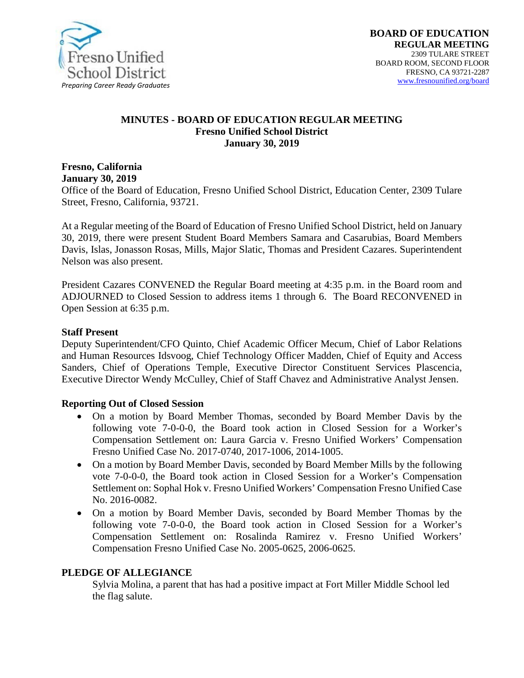

#### **MINUTES - BOARD OF EDUCATION REGULAR MEETING Fresno Unified School District January 30, 2019**

#### **Fresno, California January 30, 2019**

Office of the Board of Education, Fresno Unified School District, Education Center, 2309 Tulare Street, Fresno, California, 93721.

At a Regular meeting of the Board of Education of Fresno Unified School District, held on January 30, 2019, there were present Student Board Members Samara and Casarubias, Board Members Davis, Islas, Jonasson Rosas, Mills, Major Slatic, Thomas and President Cazares. Superintendent Nelson was also present.

President Cazares CONVENED the Regular Board meeting at 4:35 p.m. in the Board room and ADJOURNED to Closed Session to address items 1 through 6. The Board RECONVENED in Open Session at 6:35 p.m.

#### **Staff Present**

Deputy Superintendent/CFO Quinto, Chief Academic Officer Mecum, Chief of Labor Relations and Human Resources Idsvoog, Chief Technology Officer Madden, Chief of Equity and Access Sanders, Chief of Operations Temple, Executive Director Constituent Services Plascencia, Executive Director Wendy McCulley, Chief of Staff Chavez and Administrative Analyst Jensen.

#### **Reporting Out of Closed Session**

- On a motion by Board Member Thomas, seconded by Board Member Davis by the following vote 7-0-0-0, the Board took action in Closed Session for a Worker's Compensation Settlement on: Laura Garcia v. Fresno Unified Workers' Compensation Fresno Unified Case No. 2017-0740, 2017-1006, 2014-1005.
- On a motion by Board Member Davis, seconded by Board Member Mills by the following vote 7-0-0-0, the Board took action in Closed Session for a Worker's Compensation Settlement on: Sophal Hok v. Fresno Unified Workers' Compensation Fresno Unified Case No. 2016-0082.
- On a motion by Board Member Davis, seconded by Board Member Thomas by the following vote 7-0-0-0, the Board took action in Closed Session for a Worker's Compensation Settlement on: Rosalinda Ramirez v. Fresno Unified Workers' Compensation Fresno Unified Case No. 2005-0625, 2006-0625.

## **PLEDGE OF ALLEGIANCE**

Sylvia Molina, a parent that has had a positive impact at Fort Miller Middle School led the flag salute.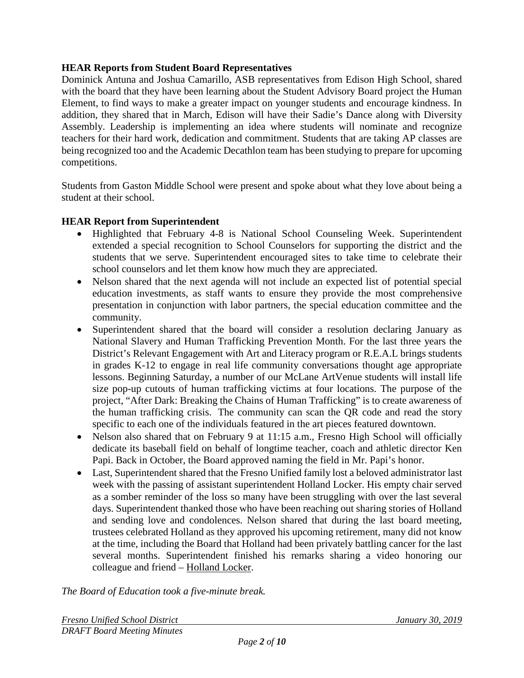## **HEAR Reports from Student Board Representatives**

Dominick Antuna and Joshua Camarillo, ASB representatives from Edison High School, shared with the board that they have been learning about the Student Advisory Board project the Human Element, to find ways to make a greater impact on younger students and encourage kindness. In addition, they shared that in March, Edison will have their Sadie's Dance along with Diversity Assembly. Leadership is implementing an idea where students will nominate and recognize teachers for their hard work, dedication and commitment. Students that are taking AP classes are being recognized too and the Academic Decathlon team has been studying to prepare for upcoming competitions.

Students from Gaston Middle School were present and spoke about what they love about being a student at their school.

# **HEAR Report from Superintendent**

- Highlighted that February 4-8 is National School Counseling Week. Superintendent extended a special recognition to School Counselors for supporting the district and the students that we serve. Superintendent encouraged sites to take time to celebrate their school counselors and let them know how much they are appreciated.
- Nelson shared that the next agenda will not include an expected list of potential special education investments, as staff wants to ensure they provide the most comprehensive presentation in conjunction with labor partners, the special education committee and the community.
- Superintendent shared that the board will consider a resolution declaring January as National Slavery and Human Trafficking Prevention Month. For the last three years the District's Relevant Engagement with Art and Literacy program or R.E.A.L brings students in grades K-12 to engage in real life community conversations thought age appropriate lessons. Beginning Saturday, a number of our McLane ArtVenue students will install life size pop-up cutouts of human trafficking victims at four locations. The purpose of the project, "After Dark: Breaking the Chains of Human Trafficking" is to create awareness of the human trafficking crisis. The community can scan the QR code and read the story specific to each one of the individuals featured in the art pieces featured downtown.
- Nelson also shared that on February 9 at 11:15 a.m., Fresno High School will officially dedicate its baseball field on behalf of longtime teacher, coach and athletic director Ken Papi. Back in October, the Board approved naming the field in Mr. Papi's honor.
- Last, Superintendent shared that the Fresno Unified family lost a beloved administrator last week with the passing of assistant superintendent Holland Locker. His empty chair served as a somber reminder of the loss so many have been struggling with over the last several days. Superintendent thanked those who have been reaching out sharing stories of Holland and sending love and condolences. Nelson shared that during the last board meeting, trustees celebrated Holland as they approved his upcoming retirement, many did not know at the time, including the Board that Holland had been privately battling cancer for the last several months. Superintendent finished his remarks sharing a video honoring our colleague and friend – [Holland Locker.](https://na01.safelinks.protection.outlook.com/?url=https%3A%2F%2Fvimeo.com%2F313885548&data=02%7C01%7CJennifer.Aguilar%40fresnounified.org%7C0a96c94d16d248856dc608d6873e4b56%7C74c9008303c6453a801c9251cdd17eb8%7C0%7C0%7C636845098993928004&sdata=M5MrffZP7FK4MKYowdTxyhorUrNpGUXquqCG%2FttsQhY%3D&reserved=0)

*The Board of Education took a five-minute break.*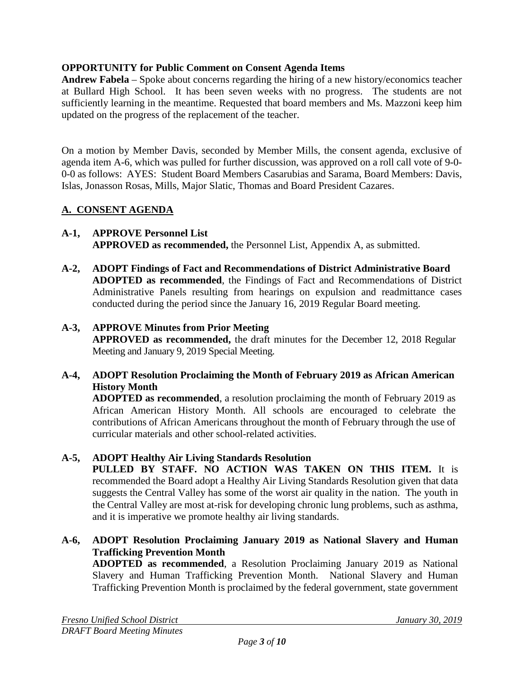# **OPPORTUNITY for Public Comment on Consent Agenda Items**

**Andrew Fabela** – Spoke about concerns regarding the hiring of a new history/economics teacher at Bullard High School. It has been seven weeks with no progress. The students are not sufficiently learning in the meantime. Requested that board members and Ms. Mazzoni keep him updated on the progress of the replacement of the teacher.

On a motion by Member Davis, seconded by Member Mills, the consent agenda, exclusive of agenda item A-6, which was pulled for further discussion, was approved on a roll call vote of 9-0- 0-0 as follows: AYES: Student Board Members Casarubias and Sarama, Board Members: Davis, Islas, Jonasson Rosas, Mills, Major Slatic, Thomas and Board President Cazares.

# **A. CONSENT AGENDA**

- **A-1, APPROVE Personnel List APPROVED as recommended,** the Personnel List, Appendix A, as submitted.
- **A-2, ADOPT Findings of Fact and Recommendations of District Administrative Board ADOPTED as recommended**, the Findings of Fact and Recommendations of District Administrative Panels resulting from hearings on expulsion and readmittance cases conducted during the period since the January 16, 2019 Regular Board meeting.

## **A-3, APPROVE Minutes from Prior Meeting**

**APPROVED as recommended,** the draft minutes for the December 12, 2018 Regular Meeting and January 9, 2019 Special Meeting.

## **A-4, ADOPT Resolution Proclaiming the Month of February 2019 as African American History Month**

**ADOPTED as recommended**, a resolution proclaiming the month of February 2019 as African American History Month. All schools are encouraged to celebrate the contributions of African Americans throughout the month of February through the use of curricular materials and other school-related activities.

## **A-5, ADOPT Healthy Air Living Standards Resolution**

**PULLED BY STAFF. NO ACTION WAS TAKEN ON THIS ITEM.** It is recommended the Board adopt a Healthy Air Living Standards Resolution given that data suggests the Central Valley has some of the worst air quality in the nation. The youth in the Central Valley are most at-risk for developing chronic lung problems, such as asthma, and it is imperative we promote healthy air living standards.

**A-6, ADOPT Resolution Proclaiming January 2019 as National Slavery and Human Trafficking Prevention Month**

**ADOPTED as recommended**, a Resolution Proclaiming January 2019 as National Slavery and Human Trafficking Prevention Month. National Slavery and Human Trafficking Prevention Month is proclaimed by the federal government, state government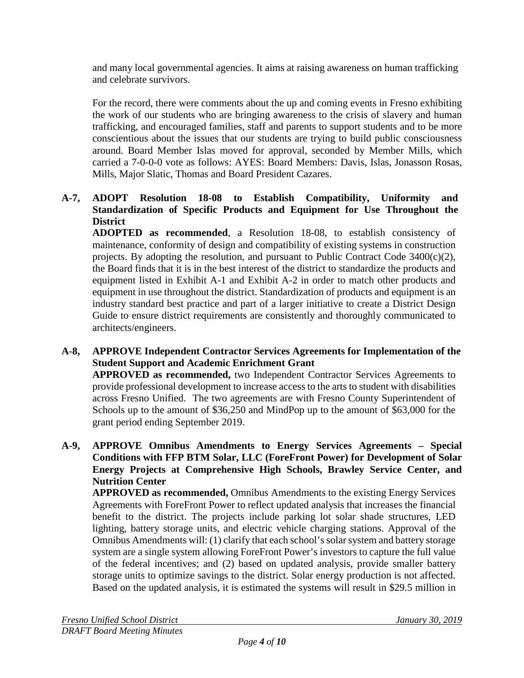and many local governmental agencies. It aims at raising awareness on human trafficking and celebrate survivors.

For the record, there were comments about the up and coming events in Fresno exhibiting the work of our students who are bringing awareness to the crisis of slavery and human trafficking, and encouraged families, staff and parents to support students and to be more conscientious about the issues that our students are trying to build public consciousness around. Board Member Islas moved for approval, seconded by Member Mills, which carried a 7-0-0-0 vote as follows: AYES: Board Members: Davis, Islas, Jonasson Rosas, Mills, Major Slatic, Thomas and Board President Cazares.

# **A-7, ADOPT Resolution 18-08 to Establish Compatibility, Uniformity and Standardization of Specific Products and Equipment for Use Throughout the District**

**ADOPTED as recommended**, a Resolution 18-08, to establish consistency of maintenance, conformity of design and compatibility of existing systems in construction projects. By adopting the resolution, and pursuant to Public Contract Code  $3400(c)(2)$ , the Board finds that it is in the best interest of the district to standardize the products and equipment listed in Exhibit A-1 and Exhibit A-2 in order to match other products and equipment in use throughout the district. Standardization of products and equipment is an industry standard best practice and part of a larger initiative to create a District Design Guide to ensure district requirements are consistently and thoroughly communicated to architects/engineers.

# **A-8, APPROVE Independent Contractor Services Agreements for Implementation of the Student Support and Academic Enrichment Grant**

**APPROVED as recommended,** two Independent Contractor Services Agreements to provide professional development to increase access to the arts to student with disabilities across Fresno Unified. The two agreements are with Fresno County Superintendent of Schools up to the amount of \$36,250 and MindPop up to the amount of \$63,000 for the grant period ending September 2019.

## **A-9, APPROVE Omnibus Amendments to Energy Services Agreements – Special Conditions with FFP BTM Solar, LLC (ForeFront Power) for Development of Solar Energy Projects at Comprehensive High Schools, Brawley Service Center, and Nutrition Center**

**APPROVED as recommended,** Omnibus Amendments to the existing Energy Services Agreements with ForeFront Power to reflect updated analysis that increases the financial benefit to the district. The projects include parking lot solar shade structures, LED lighting, battery storage units, and electric vehicle charging stations. Approval of the Omnibus Amendments will: (1) clarify that each school's solar system and battery storage system are a single system allowing ForeFront Power's investors to capture the full value of the federal incentives; and (2) based on updated analysis, provide smaller battery storage units to optimize savings to the district. Solar energy production is not affected. Based on the updated analysis, it is estimated the systems will result in \$29.5 million in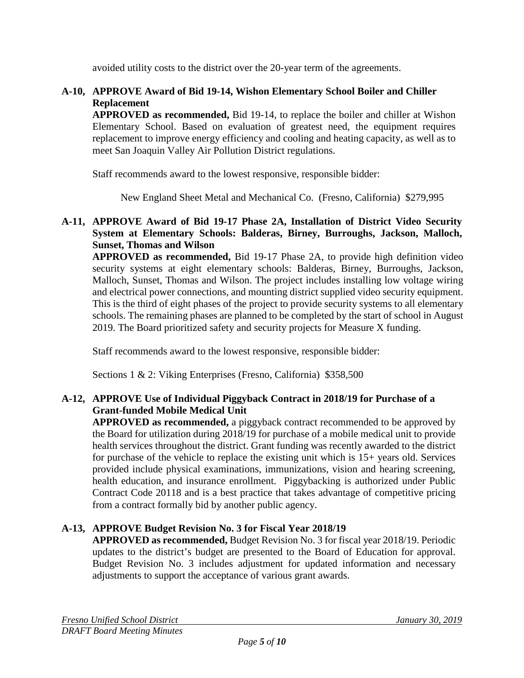avoided utility costs to the district over the 20-year term of the agreements.

# **A-10, APPROVE Award of Bid 19-14, Wishon Elementary School Boiler and Chiller Replacement**

**APPROVED as recommended,** Bid 19-14, to replace the boiler and chiller at Wishon Elementary School. Based on evaluation of greatest need, the equipment requires replacement to improve energy efficiency and cooling and heating capacity, as well as to meet San Joaquin Valley Air Pollution District regulations.

Staff recommends award to the lowest responsive, responsible bidder:

New England Sheet Metal and Mechanical Co. (Fresno, California) \$279,995

# **A-11, APPROVE Award of Bid 19-17 Phase 2A, Installation of District Video Security System at Elementary Schools: Balderas, Birney, Burroughs, Jackson, Malloch, Sunset, Thomas and Wilson**

**APPROVED as recommended,** Bid 19-17 Phase 2A, to provide high definition video security systems at eight elementary schools: Balderas, Birney, Burroughs, Jackson, Malloch, Sunset, Thomas and Wilson. The project includes installing low voltage wiring and electrical power connections, and mounting district supplied video security equipment. This is the third of eight phases of the project to provide security systems to all elementary schools. The remaining phases are planned to be completed by the start of school in August 2019. The Board prioritized safety and security projects for Measure X funding.

Staff recommends award to the lowest responsive, responsible bidder:

Sections 1 & 2: Viking Enterprises (Fresno, California) \$358,500

# **A-12, APPROVE Use of Individual Piggyback Contract in 2018/19 for Purchase of a Grant-funded Mobile Medical Unit**

**APPROVED as recommended,** a piggyback contract recommended to be approved by the Board for utilization during 2018/19 for purchase of a mobile medical unit to provide health services throughout the district. Grant funding was recently awarded to the district for purchase of the vehicle to replace the existing unit which is 15+ years old. Services provided include physical examinations, immunizations, vision and hearing screening, health education, and insurance enrollment. Piggybacking is authorized under Public Contract Code 20118 and is a best practice that takes advantage of competitive pricing from a contract formally bid by another public agency.

# **A-13, APPROVE Budget Revision No. 3 for Fiscal Year 2018/19**

**APPROVED as recommended,** Budget Revision No. 3 for fiscal year 2018/19. Periodic updates to the district's budget are presented to the Board of Education for approval. Budget Revision No. 3 includes adjustment for updated information and necessary adjustments to support the acceptance of various grant awards.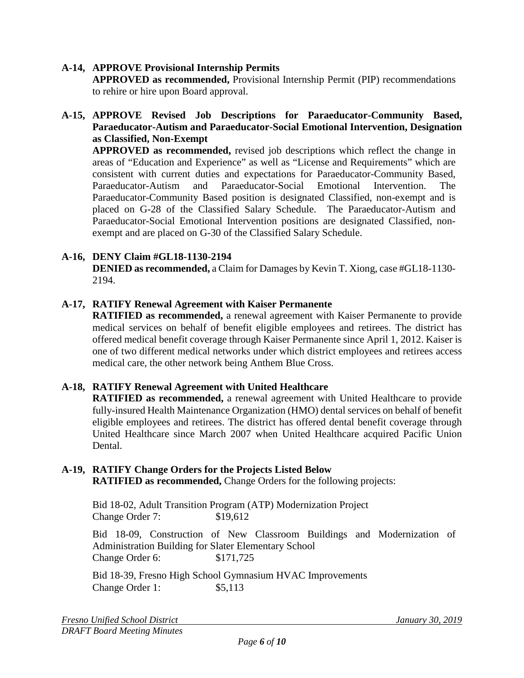## **A-14, APPROVE Provisional Internship Permits**

**APPROVED as recommended,** Provisional Internship Permit (PIP) recommendations to rehire or hire upon Board approval.

## **A-15, APPROVE Revised Job Descriptions for Paraeducator-Community Based, Paraeducator-Autism and Paraeducator-Social Emotional Intervention, Designation as Classified, Non-Exempt**

**APPROVED as recommended,** revised job descriptions which reflect the change in areas of "Education and Experience" as well as "License and Requirements" which are consistent with current duties and expectations for Paraeducator-Community Based, Paraeducator-Autism and Paraeducator-Social Emotional Intervention. The Paraeducator-Community Based position is designated Classified, non-exempt and is placed on G-28 of the Classified Salary Schedule. The Paraeducator-Autism and Paraeducator-Social Emotional Intervention positions are designated Classified, nonexempt and are placed on G-30 of the Classified Salary Schedule.

# **A-16, DENY Claim #GL18-1130-2194**

**DENIED as recommended,** a Claim for Damages by Kevin T. Xiong, case #GL18-1130- 2194.

## **A-17, RATIFY Renewal Agreement with Kaiser Permanente**

**RATIFIED as recommended,** a renewal agreement with Kaiser Permanente to provide medical services on behalf of benefit eligible employees and retirees. The district has offered medical benefit coverage through Kaiser Permanente since April 1, 2012. Kaiser is one of two different medical networks under which district employees and retirees access medical care, the other network being Anthem Blue Cross.

## **A-18, RATIFY Renewal Agreement with United Healthcare**

**RATIFIED as recommended,** a renewal agreement with United Healthcare to provide fully-insured Health Maintenance Organization (HMO) dental services on behalf of benefit eligible employees and retirees. The district has offered dental benefit coverage through United Healthcare since March 2007 when United Healthcare acquired Pacific Union Dental.

# **A-19, RATIFY Change Orders for the Projects Listed Below**

**RATIFIED as recommended,** Change Orders for the following projects:

Bid 18-02, Adult Transition Program (ATP) Modernization Project Change Order 7: \$19,612

Bid 18-09, Construction of New Classroom Buildings and Modernization of Administration Building for Slater Elementary School Change Order 6: \$171,725

Bid 18-39, Fresno High School Gymnasium HVAC Improvements Change Order 1: \$5,113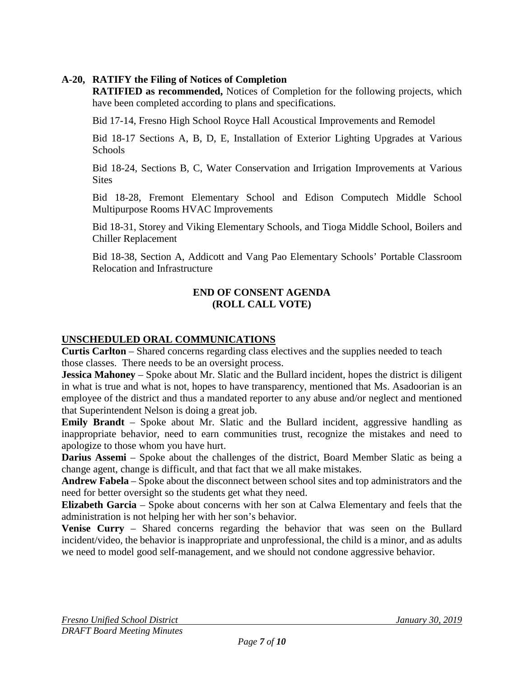# **A-20, RATIFY the Filing of Notices of Completion**

**RATIFIED as recommended,** Notices of Completion for the following projects, which have been completed according to plans and specifications.

Bid 17-14, Fresno High School Royce Hall Acoustical Improvements and Remodel

Bid 18-17 Sections A, B, D, E, Installation of Exterior Lighting Upgrades at Various **Schools** 

Bid 18-24, Sections B, C, Water Conservation and Irrigation Improvements at Various **Sites** 

Bid 18-28, Fremont Elementary School and Edison Computech Middle School Multipurpose Rooms HVAC Improvements

Bid 18-31, Storey and Viking Elementary Schools, and Tioga Middle School, Boilers and Chiller Replacement

Bid 18-38, Section A, Addicott and Vang Pao Elementary Schools' Portable Classroom Relocation and Infrastructure

## **END OF CONSENT AGENDA (ROLL CALL VOTE)**

# **UNSCHEDULED ORAL COMMUNICATIONS**

**Curtis Carlton** – Shared concerns regarding class electives and the supplies needed to teach those classes. There needs to be an oversight process.

**Jessica Mahoney** – Spoke about Mr. Slatic and the Bullard incident, hopes the district is diligent in what is true and what is not, hopes to have transparency, mentioned that Ms. Asadoorian is an employee of the district and thus a mandated reporter to any abuse and/or neglect and mentioned that Superintendent Nelson is doing a great job.

**Emily Brandt** – Spoke about Mr. Slatic and the Bullard incident, aggressive handling as inappropriate behavior, need to earn communities trust, recognize the mistakes and need to apologize to those whom you have hurt.

**Darius Assemi** – Spoke about the challenges of the district, Board Member Slatic as being a change agent, change is difficult, and that fact that we all make mistakes.

**Andrew Fabela** – Spoke about the disconnect between school sites and top administrators and the need for better oversight so the students get what they need.

**Elizabeth Garcia** – Spoke about concerns with her son at Calwa Elementary and feels that the administration is not helping her with her son's behavior.

**Venise Curry** – Shared concerns regarding the behavior that was seen on the Bullard incident/video, the behavior is inappropriate and unprofessional, the child is a minor, and as adults we need to model good self-management, and we should not condone aggressive behavior.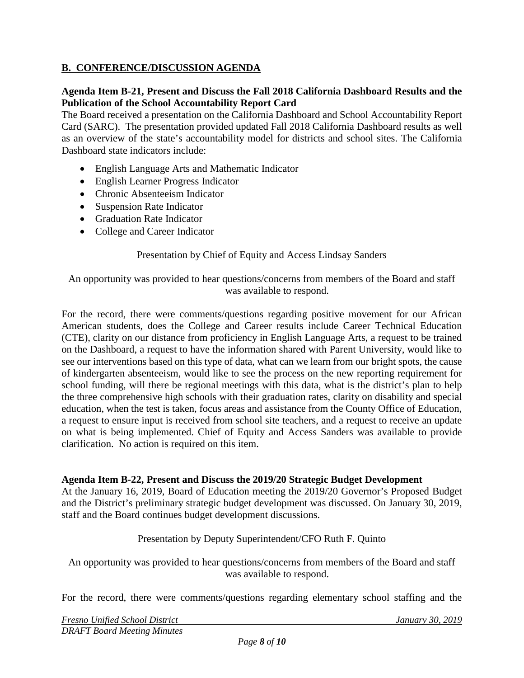# **B. CONFERENCE/DISCUSSION AGENDA**

## **Agenda Item B-21, Present and Discuss the Fall 2018 California Dashboard Results and the Publication of the School Accountability Report Card**

The Board received a presentation on the California Dashboard and School Accountability Report Card (SARC). The presentation provided updated Fall 2018 California Dashboard results as well as an overview of the state's accountability model for districts and school sites. The California Dashboard state indicators include:

- English Language Arts and Mathematic Indicator
- English Learner Progress Indicator
- Chronic Absenteeism Indicator
- Suspension Rate Indicator
- Graduation Rate Indicator
- College and Career Indicator

#### Presentation by Chief of Equity and Access Lindsay Sanders

An opportunity was provided to hear questions/concerns from members of the Board and staff was available to respond.

For the record, there were comments/questions regarding positive movement for our African American students, does the College and Career results include Career Technical Education (CTE), clarity on our distance from proficiency in English Language Arts, a request to be trained on the Dashboard, a request to have the information shared with Parent University, would like to see our interventions based on this type of data, what can we learn from our bright spots, the cause of kindergarten absenteeism, would like to see the process on the new reporting requirement for school funding, will there be regional meetings with this data, what is the district's plan to help the three comprehensive high schools with their graduation rates, clarity on disability and special education, when the test is taken, focus areas and assistance from the County Office of Education, a request to ensure input is received from school site teachers, and a request to receive an update on what is being implemented. Chief of Equity and Access Sanders was available to provide clarification. No action is required on this item.

#### **Agenda Item B-22, Present and Discuss the 2019/20 Strategic Budget Development**

At the January 16, 2019, Board of Education meeting the 2019/20 Governor's Proposed Budget and the District's preliminary strategic budget development was discussed. On January 30, 2019, staff and the Board continues budget development discussions.

#### Presentation by Deputy Superintendent/CFO Ruth F. Quinto

An opportunity was provided to hear questions/concerns from members of the Board and staff was available to respond.

For the record, there were comments/questions regarding elementary school staffing and the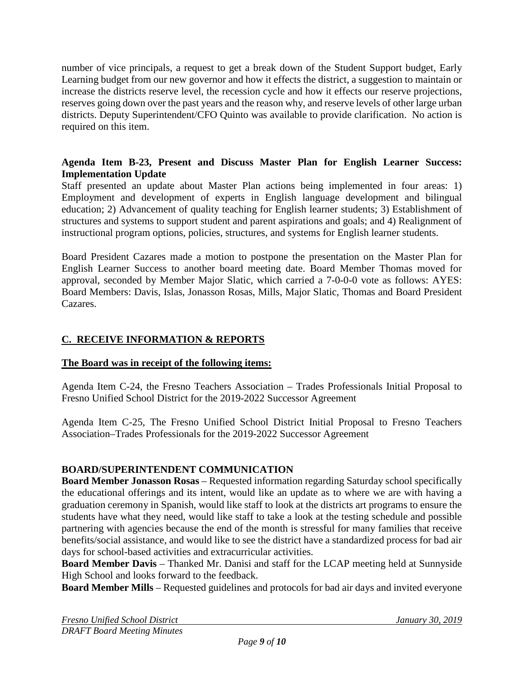number of vice principals, a request to get a break down of the Student Support budget, Early Learning budget from our new governor and how it effects the district, a suggestion to maintain or increase the districts reserve level, the recession cycle and how it effects our reserve projections, reserves going down over the past years and the reason why, and reserve levels of other large urban districts. Deputy Superintendent/CFO Quinto was available to provide clarification. No action is required on this item.

## **Agenda Item B-23, Present and Discuss Master Plan for English Learner Success: Implementation Update**

Staff presented an update about Master Plan actions being implemented in four areas: 1) Employment and development of experts in English language development and bilingual education; 2) Advancement of quality teaching for English learner students; 3) Establishment of structures and systems to support student and parent aspirations and goals; and 4) Realignment of instructional program options, policies, structures, and systems for English learner students.

Board President Cazares made a motion to postpone the presentation on the Master Plan for English Learner Success to another board meeting date. Board Member Thomas moved for approval, seconded by Member Major Slatic, which carried a 7-0-0-0 vote as follows: AYES: Board Members: Davis, Islas, Jonasson Rosas, Mills, Major Slatic, Thomas and Board President Cazares.

# **C. RECEIVE INFORMATION & REPORTS**

## **The Board was in receipt of the following items:**

Agenda Item C-24, the Fresno Teachers Association – Trades Professionals Initial Proposal to Fresno Unified School District for the 2019-2022 Successor Agreement

Agenda Item C-25, The Fresno Unified School District Initial Proposal to Fresno Teachers Association–Trades Professionals for the 2019-2022 Successor Agreement

# **BOARD/SUPERINTENDENT COMMUNICATION**

**Board Member Jonasson Rosas** – Requested information regarding Saturday school specifically the educational offerings and its intent, would like an update as to where we are with having a graduation ceremony in Spanish, would like staff to look at the districts art programs to ensure the students have what they need, would like staff to take a look at the testing schedule and possible partnering with agencies because the end of the month is stressful for many families that receive benefits/social assistance, and would like to see the district have a standardized process for bad air days for school-based activities and extracurricular activities.

**Board Member Davis** – Thanked Mr. Danisi and staff for the LCAP meeting held at Sunnyside High School and looks forward to the feedback.

**Board Member Mills** – Requested guidelines and protocols for bad air days and invited everyone